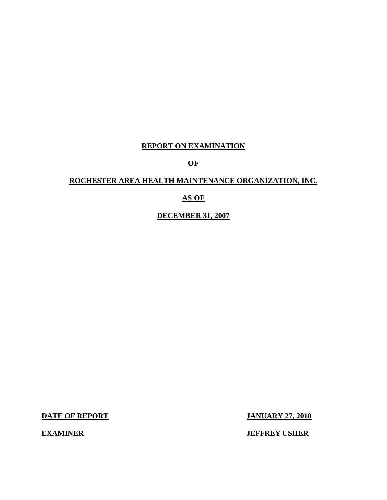## **REPORT ON EXAMINATION**

**OF** 

## **ROCHESTER AREA HEALTH MAINTENANCE ORGANIZATION, INC.**

## **AS OF**

**DECEMBER 31, 2007** 

**DATE OF REPORT JANUARY 27, 2010** 

**EXAMINER** 

**JEFFREY USHER**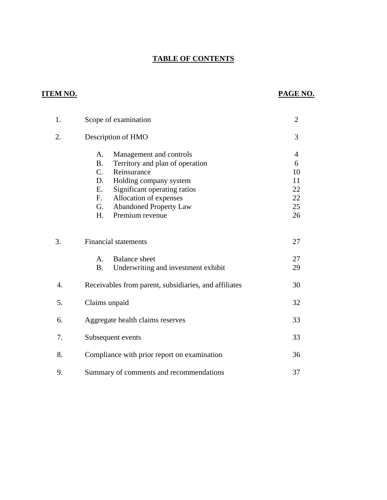## **TABLE OF CONTENTS**

## **ITEM NO. PAGE NO.**

| 1. | Scope of examination                                                                                                                                                                                                                                                              | $\overline{2}$                                          |
|----|-----------------------------------------------------------------------------------------------------------------------------------------------------------------------------------------------------------------------------------------------------------------------------------|---------------------------------------------------------|
| 2. | Description of HMO                                                                                                                                                                                                                                                                | 3                                                       |
|    | A.<br>Management and controls<br><b>B.</b><br>Territory and plan of operation<br>$C_{\cdot}$<br>Reinsurance<br>D.<br>Holding company system<br>Ε.<br>Significant operating ratios<br>Allocation of expenses<br>F.<br>G.<br><b>Abandoned Property Law</b><br>Premium revenue<br>H. | $\overline{4}$<br>6<br>10<br>11<br>22<br>22<br>25<br>26 |
| 3. | <b>Financial statements</b>                                                                                                                                                                                                                                                       | 27                                                      |
|    | <b>Balance</b> sheet<br>$\mathsf{A}$ .<br><b>B.</b><br>Underwriting and investment exhibit                                                                                                                                                                                        | 27<br>29                                                |
| 4. | Receivables from parent, subsidiaries, and affiliates                                                                                                                                                                                                                             | 30                                                      |
| 5. | Claims unpaid                                                                                                                                                                                                                                                                     | 32                                                      |
| 6. | Aggregate health claims reserves                                                                                                                                                                                                                                                  | 33                                                      |
| 7. | Subsequent events                                                                                                                                                                                                                                                                 | 33                                                      |
| 8. | Compliance with prior report on examination                                                                                                                                                                                                                                       | 36                                                      |
| 9. | Summary of comments and recommendations                                                                                                                                                                                                                                           | 37                                                      |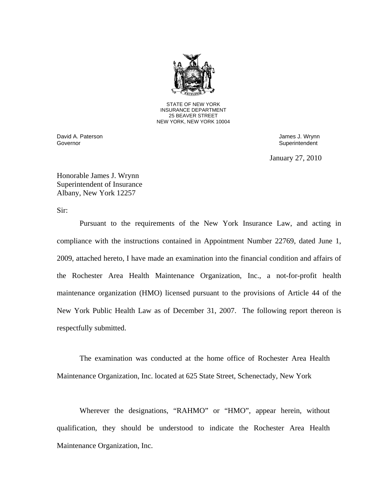

STATE OF NEW YORK INSURANCE DEPARTMENT 25 BEAVER STREET NEW YORK, NEW YORK 10004

Governor David A. Paterson James J. Wrynn

Superintendent

January 27, 2010

Honorable James J. Wrynn Superintendent of Insurance Albany, New York 12257

Sir:

Pursuant to the requirements of the New York Insurance Law, and acting in compliance with the instructions contained in Appointment Number 22769, dated June 1, 2009, attached hereto, I have made an examination into the financial condition and affairs of the Rochester Area Health Maintenance Organization, Inc., a not-for-profit health maintenance organization (HMO) licensed pursuant to the provisions of Article 44 of the New York Public Health Law as of December 31, 2007. The following report thereon is respectfully submitted.

The examination was conducted at the home office of Rochester Area Health Maintenance Organization, Inc. located at 625 State Street, Schenectady, New York

Wherever the designations, "RAHMO" or "HMO", appear herein, without qualification, they should be understood to indicate the Rochester Area Health Maintenance Organization, Inc.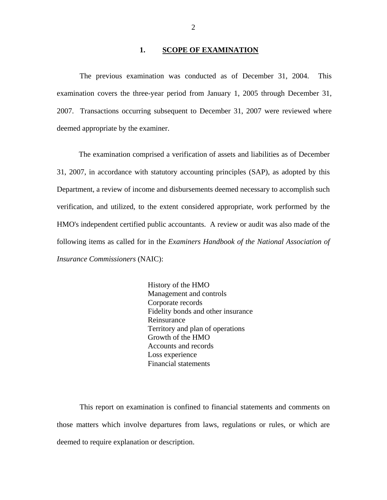### 1. **SCOPE OF EXAMINATION**

The previous examination was conducted as of December 31, 2004. This examination covers the three-year period from January 1, 2005 through December 31, 2007. Transactions occurring subsequent to December 31, 2007 were reviewed where deemed appropriate by the examiner.

The examination comprised a verification of assets and liabilities as of December 31, 2007, in accordance with statutory accounting principles (SAP), as adopted by this Department, a review of income and disbursements deemed necessary to accomplish such verification, and utilized, to the extent considered appropriate, work performed by the HMO's independent certified public accountants. A review or audit was also made of the following items as called for in the *Examiners Handbook of the National Association of Insurance Commissioners* (NAIC):

> History of the HMO Management and controls Corporate records Fidelity bonds and other insurance Reinsurance Territory and plan of operations Growth of the HMO Accounts and records Loss experience Financial statements

This report on examination is confined to financial statements and comments on those matters which involve departures from laws, regulations or rules, or which are deemed to require explanation or description.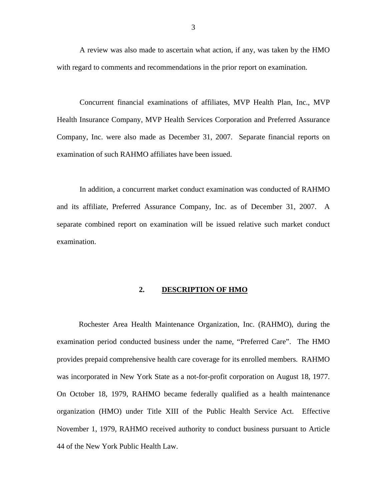<span id="page-4-0"></span>A review was also made to ascertain what action, if any, was taken by the HMO with regard to comments and recommendations in the prior report on examination.

Concurrent financial examinations of affiliates, MVP Health Plan, Inc., MVP Health Insurance Company, MVP Health Services Corporation and Preferred Assurance Company, Inc. were also made as December 31, 2007. Separate financial reports on examination of such RAHMO affiliates have been issued.

In addition, a concurrent market conduct examination was conducted of RAHMO and its affiliate, Preferred Assurance Company, Inc. as of December 31, 2007. A separate combined report on examination will be issued relative such market conduct examination.

## **2. DESCRIPTION OF HMO**

Rochester Area Health Maintenance Organization, Inc. (RAHMO), during the examination period conducted business under the name, "Preferred Care". The HMO provides prepaid comprehensive health care coverage for its enrolled members. RAHMO was incorporated in New York State as a not-for-profit corporation on August 18, 1977. On October 18, 1979, RAHMO became federally qualified as a health maintenance organization (HMO) under Title XIII of the Public Health Service Act. Effective November 1, 1979, RAHMO received authority to conduct business pursuant to Article 44 of the New York Public Health Law.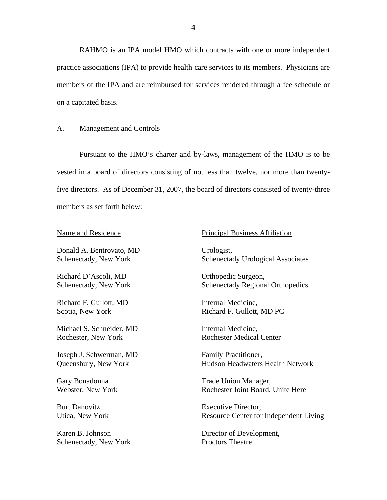<span id="page-5-0"></span>RAHMO is an IPA model HMO which contracts with one or more independent practice associations (IPA) to provide health care services to its members. Physicians are members of the IPA and are reimbursed for services rendered through a fee schedule or on a capitated basis.

## A. Management and Controls

Pursuant to the HMO's charter and by-laws, management of the HMO is to be vested in a board of directors consisting of not less than twelve, nor more than twentyfive directors. As of December 31, 2007, the board of directors consisted of twenty-three members as set forth below:

Donald A. Bentrovato, MD Urologist,

Richard D'Ascoli, MD Orthopedic Surgeon,

Richard F. Gullott, MD Internal Medicine,

Michael S. Schneider, MD Internal Medicine, Rochester, New York Rochester Medical Center

Joseph J. Schwerman, MD Family Practitioner,

Schenectady, New York Proctors Theatre

#### Name and Residence Principal Business Affiliation

Schenectady, New York Schenectady Urological Associates

Schenectady, New York Schenectady Regional Orthopedics

Scotia, New York **Richard F. Gullott, MD PC** 

Queensbury, New York Hudson Headwaters Health Network

Gary Bonadonna Trade Union Manager, Webster, New York **Rochester Joint Board, Unite Here** 

Burt Danovitz Executive Director. Utica, New York Resource Center for Independent Living

Karen B. Johnson Director of Development,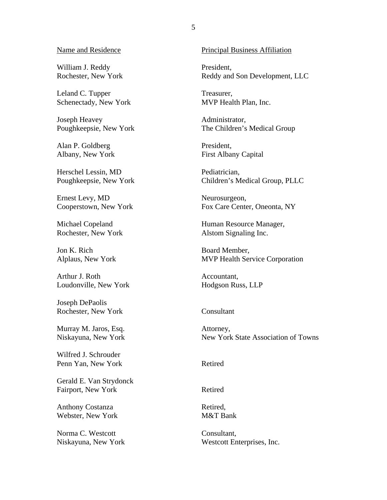William J. Reddy Rochester, New York

Leland C. Tupper Schenectady, New York

Joseph Heavey Poughkeepsie, New York

Alan P. Goldberg Albany, New York

Herschel Lessin, MD Poughkeepsie, New York

Ernest Levy, MD Cooperstown, New York

Michael Copeland Rochester, New York

Jon K. Rich Alplaus, New York

Arthur J. Roth Loudonville, New York

Joseph DePaolis Rochester, New York Consultant

Murray M. Jaros, Esq. Niskayuna, New York

Wilfred J. Schrouder Penn Yan, New York Retired

Gerald E. Van Strydonck Fairport, New York Retired

Anthony Costanza Webster, New York

Norma C. Westcott Niskayuna, New York

Name and Residence Principal Business Affiliation

President, Reddy and Son Development, LLC

Treasurer, MVP Health Plan, Inc.

Administrator, The Children's Medical Group

President, First Albany Capital

Pediatrician, Children's Medical Group, PLLC

Neurosurgeon, Fox Care Center, Oneonta, NY

Human Resource Manager, Alstom Signaling Inc.

Board Member, MVP Health Service Corporation

Accountant, Hodgson Russ, LLP

Attorney, New York State Association of Towns

Retired, M&T Bank

Consultant, Westcott Enterprises, Inc.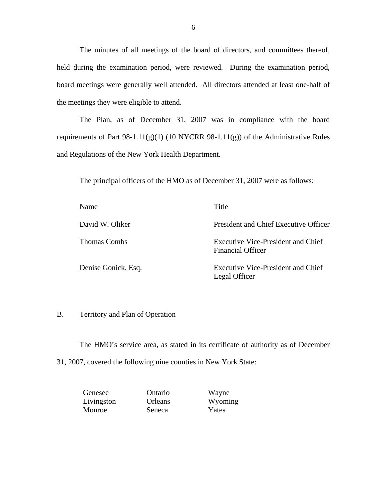<span id="page-7-0"></span>The minutes of all meetings of the board of directors, and committees thereof, held during the examination period, were reviewed. During the examination period, board meetings were generally well attended. All directors attended at least one-half of the meetings they were eligible to attend.

The Plan, as of December 31, 2007 was in compliance with the board requirements of Part 98-1.11 $(g)(1)$  (10 NYCRR 98-1.11 $(g)$ ) of the Administrative Rules and Regulations of the New York Health Department.

The principal officers of the HMO as of December 31, 2007 were as follows:

| Name                | Title                                                          |
|---------------------|----------------------------------------------------------------|
| David W. Oliker     | President and Chief Executive Officer                          |
| <b>Thomas Combs</b> | Executive Vice-President and Chief<br><b>Financial Officer</b> |
| Denise Gonick, Esq. | Executive Vice-President and Chief<br>Legal Officer            |

## B. Territory and Plan of Operation

The HMO's service area, as stated in its certificate of authority as of December

31, 2007, covered the following nine counties in New York State:

| Ontario | Wayne   |
|---------|---------|
| Orleans | Wyoming |
| Seneca  | Yates   |
|         |         |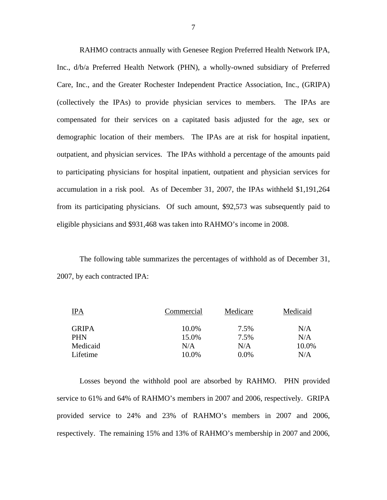RAHMO contracts annually with Genesee Region Preferred Health Network IPA, Inc., d/b/a Preferred Health Network (PHN), a wholly-owned subsidiary of Preferred Care, Inc., and the Greater Rochester Independent Practice Association, Inc., (GRIPA) (collectively the IPAs) to provide physician services to members. The IPAs are compensated for their services on a capitated basis adjusted for the age, sex or demographic location of their members. The IPAs are at risk for hospital inpatient, outpatient, and physician services. The IPAs withhold a percentage of the amounts paid to participating physicians for hospital inpatient, outpatient and physician services for accumulation in a risk pool. As of December 31, 2007, the IPAs withheld \$1,191,264 from its participating physicians. Of such amount, \$92,573 was subsequently paid to eligible physicians and \$931,468 was taken into RAHMO's income in 2008.

The following table summarizes the percentages of withhold as of December 31, 2007, by each contracted IPA:

| <b>IPA</b>   | Commercial | Medicare | Medicaid |
|--------------|------------|----------|----------|
| <b>GRIPA</b> | 10.0%      | 7.5%     | N/A      |
| <b>PHN</b>   | 15.0%      | 7.5%     | N/A      |
| Medicaid     | N/A        | N/A      | 10.0%    |
| Lifetime     | 10.0%      | $0.0\%$  | N/A      |

Losses beyond the withhold pool are absorbed by RAHMO. PHN provided service to 61% and 64% of RAHMO's members in 2007 and 2006, respectively. GRIPA provided service to 24% and 23% of RAHMO's members in 2007 and 2006, respectively. The remaining 15% and 13% of RAHMO's membership in 2007 and 2006,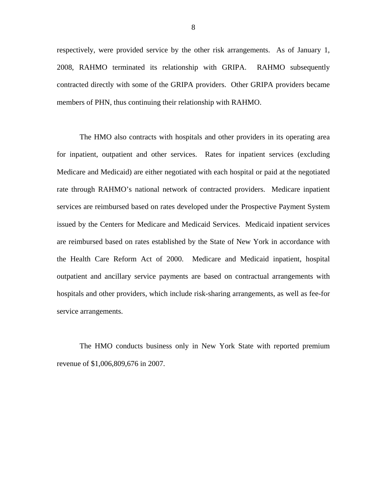respectively, were provided service by the other risk arrangements. As of January 1, 2008, RAHMO terminated its relationship with GRIPA. RAHMO subsequently contracted directly with some of the GRIPA providers. Other GRIPA providers became members of PHN, thus continuing their relationship with RAHMO.

The HMO also contracts with hospitals and other providers in its operating area for inpatient, outpatient and other services. Rates for inpatient services (excluding Medicare and Medicaid) are either negotiated with each hospital or paid at the negotiated rate through RAHMO's national network of contracted providers. Medicare inpatient services are reimbursed based on rates developed under the Prospective Payment System issued by the Centers for Medicare and Medicaid Services. Medicaid inpatient services are reimbursed based on rates established by the State of New York in accordance with the Health Care Reform Act of 2000. Medicare and Medicaid inpatient, hospital outpatient and ancillary service payments are based on contractual arrangements with hospitals and other providers, which include risk-sharing arrangements, as well as fee-for service arrangements.

The HMO conducts business only in New York State with reported premium revenue of \$1,006,809,676 in 2007.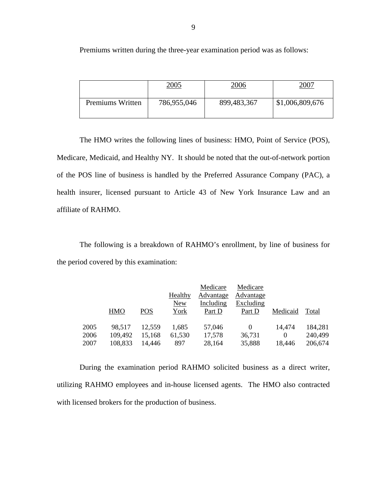Premiums written during the three-year examination period was as follows:

|                  | 2005        | 2006        | 2007            |
|------------------|-------------|-------------|-----------------|
| Premiums Written | 786,955,046 | 899,483,367 | \$1,006,809,676 |

The HMO writes the following lines of business: HMO, Point of Service (POS), Medicare, Medicaid, and Healthy NY. It should be noted that the out-of-network portion of the POS line of business is handled by the Preferred Assurance Company (PAC), a health insurer, licensed pursuant to Article 43 of New York Insurance Law and an affiliate of RAHMO.

The following is a breakdown of RAHMO's enrollment, by line of business for the period covered by this examination:

|      |            |        |            | Medicare  | Medicare  |          |         |
|------|------------|--------|------------|-----------|-----------|----------|---------|
|      |            |        | Healthy    | Advantage | Advantage |          |         |
|      |            |        | <b>New</b> | Including | Excluding |          |         |
|      | <b>HMO</b> | POS    | York       | Part D    | Part D    | Medicaid | Total   |
|      |            |        |            |           |           |          |         |
| 2005 | 98.517     | 12,559 | 1,685      | 57,046    | 0         | 14.474   | 184,281 |
| 2006 | 109,492    | 15,168 | 61,530     | 17,578    | 36,731    | $\Omega$ | 240,499 |
| 2007 | 108,833    | 14,446 | 897        | 28,164    | 35,888    | 18,446   | 206,674 |

During the examination period RAHMO solicited business as a direct writer, utilizing RAHMO employees and in-house licensed agents. The HMO also contracted with licensed brokers for the production of business.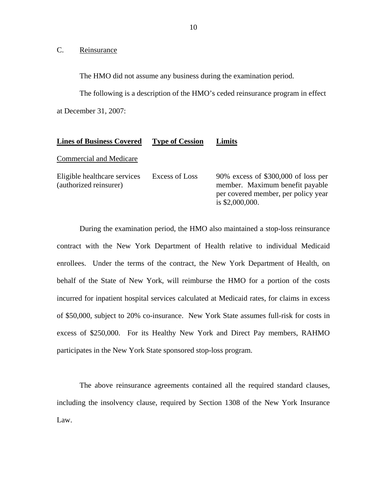C. Reinsurance

The HMO did not assume any business during the examination period.

The following is a description of the HMO's ceded reinsurance program in effect at December 31, 2007:

#### **Lines of Business Covered Type of Cession Limits**

### Commercial and Medicare

| Eligible healthcare services | Excess of Loss | 90% excess of $$300,000$ of loss per                     |
|------------------------------|----------------|----------------------------------------------------------|
| (authorized reinsurer)       |                | member. Maximum benefit payable                          |
|                              |                | per covered member, per policy year<br>is $$2,000,000$ . |
|                              |                |                                                          |

During the examination period, the HMO also maintained a stop-loss reinsurance contract with the New York Department of Health relative to individual Medicaid enrollees. Under the terms of the contract, the New York Department of Health, on behalf of the State of New York, will reimburse the HMO for a portion of the costs incurred for inpatient hospital services calculated at Medicaid rates, for claims in excess of \$50,000, subject to 20% co-insurance. New York State assumes full-risk for costs in excess of \$250,000. For its Healthy New York and Direct Pay members, RAHMO participates in the New York State sponsored stop-loss program.

The above reinsurance agreements contained all the required standard clauses, including the insolvency clause, required by Section 1308 of the New York Insurance Law.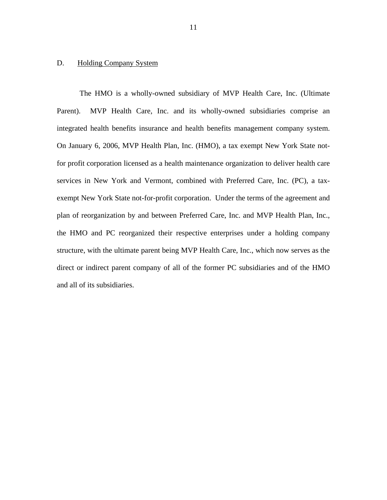## <span id="page-12-0"></span>D. Holding Company System

The HMO is a wholly-owned subsidiary of MVP Health Care, Inc. (Ultimate Parent). MVP Health Care, Inc. and its wholly-owned subsidiaries comprise an integrated health benefits insurance and health benefits management company system. On January 6, 2006, MVP Health Plan, Inc. (HMO), a tax exempt New York State notfor profit corporation licensed as a health maintenance organization to deliver health care services in New York and Vermont, combined with Preferred Care, Inc. (PC), a taxexempt New York State not-for-profit corporation. Under the terms of the agreement and plan of reorganization by and between Preferred Care, Inc. and MVP Health Plan, Inc., the HMO and PC reorganized their respective enterprises under a holding company structure, with the ultimate parent being MVP Health Care, Inc., which now serves as the direct or indirect parent company of all of the former PC subsidiaries and of the HMO and all of its subsidiaries.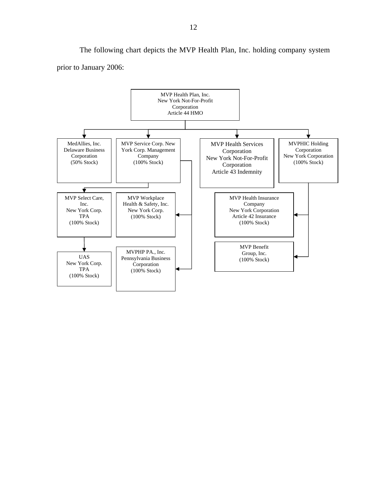The following chart depicts the MVP Health Plan, Inc. holding company system prior to January 2006:

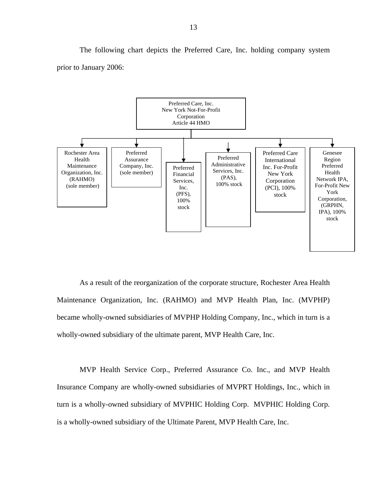The following chart depicts the Preferred Care, Inc. holding company system prior to January 2006:



As a result of the reorganization of the corporate structure, Rochester Area Health Maintenance Organization, Inc. (RAHMO) and MVP Health Plan, Inc. (MVPHP) became wholly-owned subsidiaries of MVPHP Holding Company, Inc., which in turn is a wholly-owned subsidiary of the ultimate parent, MVP Health Care, Inc.

MVP Health Service Corp., Preferred Assurance Co. Inc., and MVP Health Insurance Company are wholly-owned subsidiaries of MVPRT Holdings, Inc., which in turn is a wholly-owned subsidiary of MVPHIC Holding Corp. MVPHIC Holding Corp. is a wholly-owned subsidiary of the Ultimate Parent, MVP Health Care, Inc.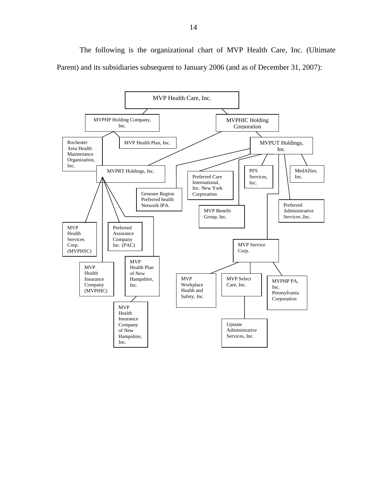The following is the organizational chart of MVP Health Care, Inc. (Ultimate Parent) and its subsidiaries subsequent to January 2006 (and as of December 31, 2007):

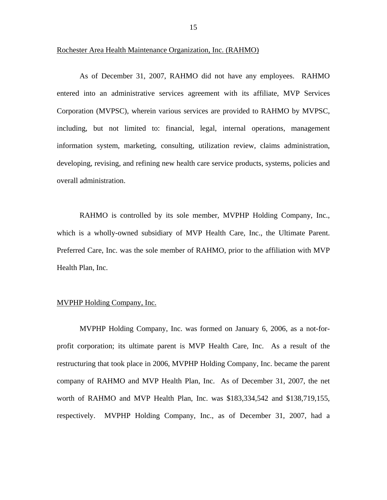### Rochester Area Health Maintenance Organization, Inc. (RAHMO)

As of December 31, 2007, RAHMO did not have any employees. RAHMO entered into an administrative services agreement with its affiliate, MVP Services Corporation (MVPSC), wherein various services are provided to RAHMO by MVPSC, including, but not limited to: financial, legal, internal operations, management information system, marketing, consulting, utilization review, claims administration, developing, revising, and refining new health care service products, systems, policies and overall administration.

which is a wholly-owned subsidiary of MVP Health Care, Inc., the Ultimate Parent. RAHMO is controlled by its sole member, MVPHP Holding Company, Inc., Preferred Care, Inc., was the sole member of RAHMO, prior to the affiliation with MVP Health Plan, Inc.

## MVPHP Holding Company, Inc.

MVPHP Holding Company, Inc. was formed on January 6, 2006, as a not-forprofit corporation; its ultimate parent is MVP Health Care, Inc. As a result of the restructuring that took place in 2006, MVPHP Holding Company, Inc. became the parent company of RAHMO and MVP Health Plan, Inc. As of December 31, 2007, the net worth of RAHMO and MVP Health Plan, Inc. was \$183,334,542 and \$138,719,155, respectively. MVPHP Holding Company, Inc., as of December 31, 2007, had a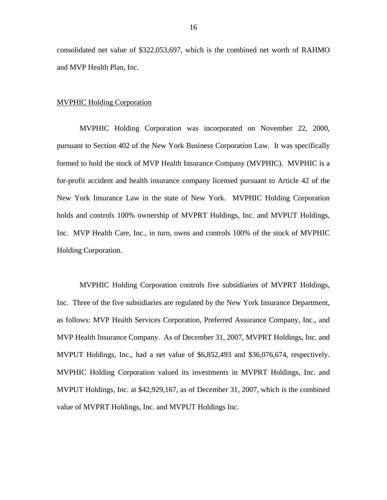consolidated net value of \$322,053,697, which is the combined net worth of RAHMO and MVP Health Plan, Inc.

## MVPHIC Holding Corporation

MVPHIC Holding Corporation was incorporated on November 22, 2000, pursuant to Section 402 of the New York Business Corporation Law. It was specifically formed to hold the stock of MVP Health Insurance Company (MVPHIC). MVPHIC is a for-profit accident and health insurance company licensed pursuant to Article 42 of the New York Insurance Law in the state of New York. MVPHIC Holding Corporation holds and controls 100% ownership of MVPRT Holdings, Inc. and MVPUT Holdings, Inc. MVP Health Care, Inc., in turn, owns and controls 100% of the stock of MVPHIC Holding Corporation.

MVPHIC Holding Corporation controls five subsidiaries of MVPRT Holdings, Inc. Three of the five subsidiaries are regulated by the New York Insurance Department, as follows: MVP Health Services Corporation, Preferred Assurance Company, Inc., and MVP Health Insurance Company. As of December 31, 2007, MVPRT Holdings, Inc. and MVPUT Holdings, Inc., had a net value of \$6,852,493 and \$36,076,674, respectively. MVPHIC Holding Corporation valued its investments in MVPRT Holdings, Inc. and MVPUT Holdings, Inc. at \$42,929,167, as of December 31, 2007, which is the combined value of MVPRT Holdings, Inc. and MVPUT Holdings Inc.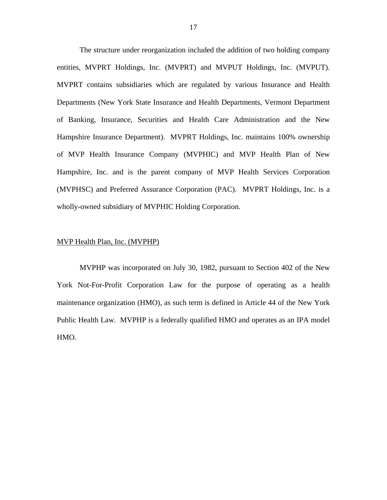The structure under reorganization included the addition of two holding company entities, MVPRT Holdings, Inc. (MVPRT) and MVPUT Holdings, Inc. (MVPUT). MVPRT contains subsidiaries which are regulated by various Insurance and Health Departments (New York State Insurance and Health Departments, Vermont Department of Banking, Insurance, Securities and Health Care Administration and the New Hampshire Insurance Department). MVPRT Holdings, Inc. maintains 100% ownership of MVP Health Insurance Company (MVPHIC) and MVP Health Plan of New Hampshire, Inc. and is the parent company of MVP Health Services Corporation (MVPHSC) and Preferred Assurance Corporation (PAC). MVPRT Holdings, Inc. is a wholly-owned subsidiary of MVPHIC Holding Corporation.

#### MVP Health Plan, Inc. (MVPHP)

MVPHP was incorporated on July 30, 1982, pursuant to Section 402 of the New York Not-For-Profit Corporation Law for the purpose of operating as a health maintenance organization (HMO), as such term is defined in Article 44 of the New York Public Health Law. MVPHP is a federally qualified HMO and operates as an IPA model HMO.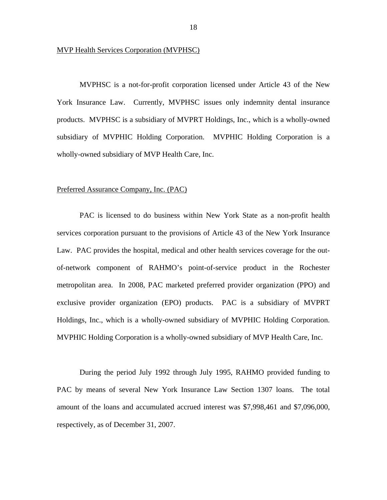### MVP Health Services Corporation (MVPHSC)

MVPHSC is a not-for-profit corporation licensed under Article 43 of the New York Insurance Law. Currently, MVPHSC issues only indemnity dental insurance products. MVPHSC is a subsidiary of MVPRT Holdings, Inc., which is a wholly-owned subsidiary of MVPHIC Holding Corporation. MVPHIC Holding Corporation is a wholly-owned subsidiary of MVP Health Care, Inc.

### Preferred Assurance Company, Inc. (PAC)

PAC is licensed to do business within New York State as a non-profit health services corporation pursuant to the provisions of Article 43 of the New York Insurance Law. PAC provides the hospital, medical and other health services coverage for the outof-network component of RAHMO's point-of-service product in the Rochester metropolitan area. In 2008, PAC marketed preferred provider organization (PPO) and exclusive provider organization (EPO) products. PAC is a subsidiary of MVPRT Holdings, Inc., which is a wholly-owned subsidiary of MVPHIC Holding Corporation. MVPHIC Holding Corporation is a wholly-owned subsidiary of MVP Health Care, Inc.

During the period July 1992 through July 1995, RAHMO provided funding to PAC by means of several New York Insurance Law Section 1307 loans. The total amount of the loans and accumulated accrued interest was \$7,998,461 and \$7,096,000, respectively, as of December 31, 2007.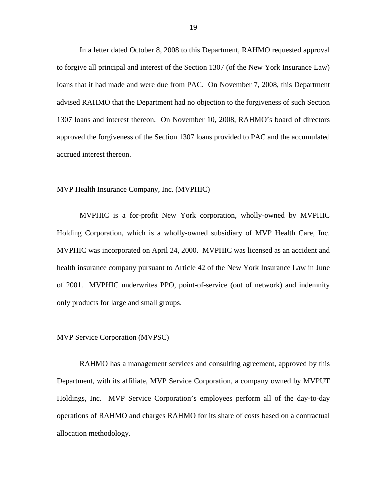In a letter dated October 8, 2008 to this Department, RAHMO requested approval to forgive all principal and interest of the Section 1307 (of the New York Insurance Law) loans that it had made and were due from PAC. On November 7, 2008, this Department advised RAHMO that the Department had no objection to the forgiveness of such Section 1307 loans and interest thereon. On November 10, 2008, RAHMO's board of directors approved the forgiveness of the Section 1307 loans provided to PAC and the accumulated accrued interest thereon.

### MVP Health Insurance Company, Inc. (MVPHIC)

MVPHIC is a for-profit New York corporation, wholly-owned by MVPHIC Holding Corporation, which is a wholly-owned subsidiary of MVP Health Care, Inc. MVPHIC was incorporated on April 24, 2000. MVPHIC was licensed as an accident and health insurance company pursuant to Article 42 of the New York Insurance Law in June of 2001. MVPHIC underwrites PPO, point-of-service (out of network) and indemnity only products for large and small groups.

#### MVP Service Corporation (MVPSC)

RAHMO has a management services and consulting agreement, approved by this Department, with its affiliate, MVP Service Corporation, a company owned by MVPUT Holdings, Inc. MVP Service Corporation's employees perform all of the day-to-day operations of RAHMO and charges RAHMO for its share of costs based on a contractual allocation methodology.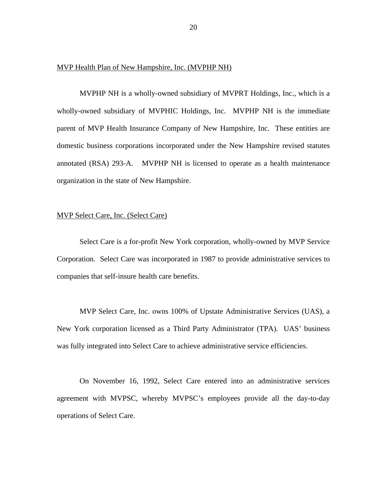#### MVP Health Plan of New Hampshire, Inc. (MVPHP NH)

MVPHP NH is a wholly-owned subsidiary of MVPRT Holdings, Inc., which is a wholly-owned subsidiary of MVPHIC Holdings, Inc. MVPHP NH is the immediate parent of MVP Health Insurance Company of New Hampshire, Inc. These entities are domestic business corporations incorporated under the New Hampshire revised statutes annotated (RSA) 293-A. MVPHP NH is licensed to operate as a health maintenance organization in the state of New Hampshire.

## MVP Select Care, Inc. (Select Care)

Select Care is a for-profit New York corporation, wholly-owned by MVP Service Corporation. Select Care was incorporated in 1987 to provide administrative services to companies that self-insure health care benefits.

MVP Select Care, Inc. owns 100% of Upstate Administrative Services (UAS), a New York corporation licensed as a Third Party Administrator (TPA). UAS' business was fully integrated into Select Care to achieve administrative service efficiencies.

On November 16, 1992, Select Care entered into an administrative services agreement with MVPSC, whereby MVPSC's employees provide all the day-to-day operations of Select Care.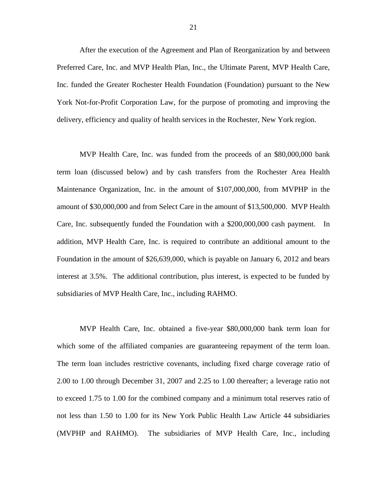After the execution of the Agreement and Plan of Reorganization by and between Preferred Care, Inc. and MVP Health Plan, Inc., the Ultimate Parent, MVP Health Care, Inc. funded the Greater Rochester Health Foundation (Foundation) pursuant to the New York Not-for-Profit Corporation Law, for the purpose of promoting and improving the delivery, efficiency and quality of health services in the Rochester, New York region.

MVP Health Care, Inc. was funded from the proceeds of an \$80,000,000 bank term loan (discussed below) and by cash transfers from the Rochester Area Health Maintenance Organization, Inc. in the amount of \$107,000,000, from MVPHP in the amount of \$30,000,000 and from Select Care in the amount of \$13,500,000. MVP Health Care, Inc. subsequently funded the Foundation with a \$200,000,000 cash payment. In addition, MVP Health Care, Inc. is required to contribute an additional amount to the Foundation in the amount of \$26,639,000, which is payable on January 6, 2012 and bears interest at 3.5%. The additional contribution, plus interest, is expected to be funded by subsidiaries of MVP Health Care, Inc., including RAHMO.

MVP Health Care, Inc. obtained a five-year \$80,000,000 bank term loan for which some of the affiliated companies are guaranteeing repayment of the term loan. The term loan includes restrictive covenants, including fixed charge coverage ratio of 2.00 to 1.00 through December 31, 2007 and 2.25 to 1.00 thereafter; a leverage ratio not to exceed 1.75 to 1.00 for the combined company and a minimum total reserves ratio of not less than 1.50 to 1.00 for its New York Public Health Law Article 44 subsidiaries (MVPHP and RAHMO). The subsidiaries of MVP Health Care, Inc., including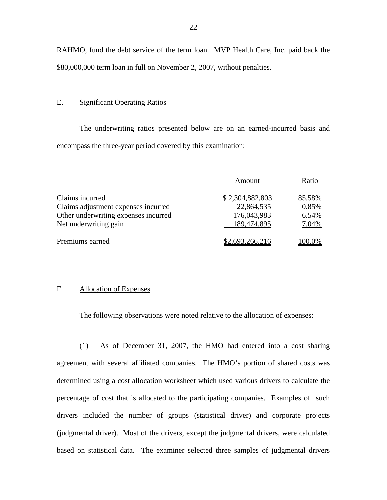RAHMO, fund the debt service of the term loan. MVP Health Care, Inc. paid back the \$80,000,000 term loan in full on November 2, 2007, without penalties.

### E. Significant Operating Ratios

The underwriting ratios presented below are on an earned-incurred basis and encompass the three-year period covered by this examination:

|                                      | Amount          | Ratio  |
|--------------------------------------|-----------------|--------|
| Claims incurred                      | \$2,304,882,803 | 85.58% |
| Claims adjustment expenses incurred  | 22,864,535      | 0.85%  |
| Other underwriting expenses incurred | 176,043,983     | 6.54%  |
| Net underwriting gain                | 189,474,895     | 7.04%  |
| Premiums earned                      | \$2,693,266,216 | 100.0% |

## F. Allocation of Expenses

The following observations were noted relative to the allocation of expenses:

(1) As of December 31, 2007, the HMO had entered into a cost sharing agreement with several affiliated companies. The HMO's portion of shared costs was determined using a cost allocation worksheet which used various drivers to calculate the percentage of cost that is allocated to the participating companies. Examples of such drivers included the number of groups (statistical driver) and corporate projects (judgmental driver). Most of the drivers, except the judgmental drivers, were calculated based on statistical data. The examiner selected three samples of judgmental drivers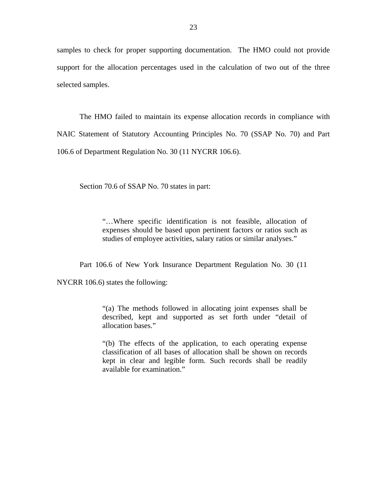samples to check for proper supporting documentation. The HMO could not provide support for the allocation percentages used in the calculation of two out of the three selected samples.

The HMO failed to maintain its expense allocation records in compliance with NAIC Statement of Statutory Accounting Principles No. 70 (SSAP No. 70) and Part 106.6 of Department Regulation No. 30 (11 NYCRR 106.6).

Section 70.6 of SSAP No. 70 states in part:

"…Where specific identification is not feasible, allocation of expenses should be based upon pertinent factors or ratios such as studies of employee activities, salary ratios or similar analyses."

Part 106.6 of New York Insurance Department Regulation No. 30 (11

NYCRR 106.6) states the following:

"(a) The methods followed in allocating joint expenses shall be described, kept and supported as set forth under "detail of allocation bases."

"(b) The effects of the application, to each operating expense classification of all bases of allocation shall be shown on records kept in clear and legible form. Such records shall be readily available for examination."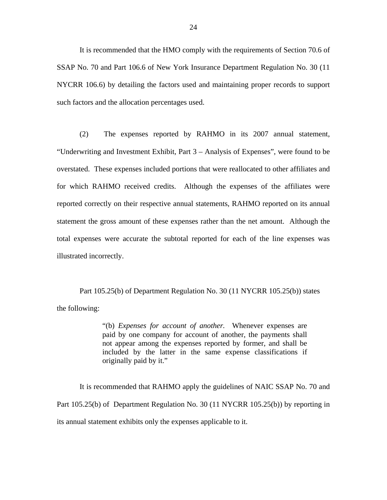It is recommended that the HMO comply with the requirements of Section 70.6 of SSAP No. 70 and Part 106.6 of New York Insurance Department Regulation No. 30 (11 NYCRR 106.6) by detailing the factors used and maintaining proper records to support such factors and the allocation percentages used.

(2) The expenses reported by RAHMO in its 2007 annual statement, "Underwriting and Investment Exhibit, Part 3 – Analysis of Expenses", were found to be overstated. These expenses included portions that were reallocated to other affiliates and for which RAHMO received credits. Although the expenses of the affiliates were reported correctly on their respective annual statements, RAHMO reported on its annual statement the gross amount of these expenses rather than the net amount. Although the total expenses were accurate the subtotal reported for each of the line expenses was illustrated incorrectly.

Part 105.25(b) of Department Regulation No. 30 (11 NYCRR 105.25(b)) states the following:

> "(b) *Expenses for account of another.* Whenever expenses are paid by one company for account of another, the payments shall not appear among the expenses reported by former, and shall be included by the latter in the same expense classifications if originally paid by it."

It is recommended that RAHMO apply the guidelines of NAIC SSAP No. 70 and Part 105.25(b) of Department Regulation No. 30 (11 NYCRR 105.25(b)) by reporting in its annual statement exhibits only the expenses applicable to it.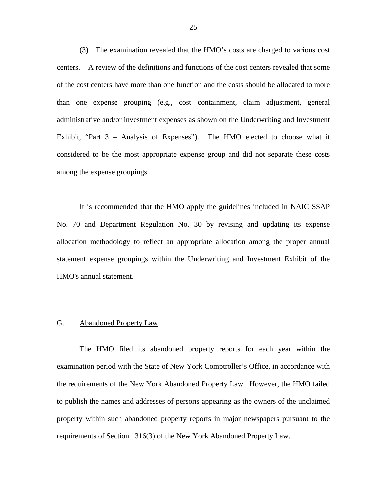<span id="page-26-0"></span>(3) The examination revealed that the HMO's costs are charged to various cost centers. A review of the definitions and functions of the cost centers revealed that some of the cost centers have more than one function and the costs should be allocated to more than one expense grouping (e.g., cost containment, claim adjustment, general administrative and/or investment expenses as shown on the Underwriting and Investment Exhibit, "Part 3 – Analysis of Expenses"). The HMO elected to choose what it considered to be the most appropriate expense group and did not separate these costs among the expense groupings.

It is recommended that the HMO apply the guidelines included in NAIC SSAP No. 70 and Department Regulation No. 30 by revising and updating its expense allocation methodology to reflect an appropriate allocation among the proper annual statement expense groupings within the Underwriting and Investment Exhibit of the HMO's annual statement.

## G. Abandoned Property Law

The HMO filed its abandoned property reports for each year within the examination period with the State of New York Comptroller's Office, in accordance with the requirements of the New York Abandoned Property Law. However, the HMO failed to publish the names and addresses of persons appearing as the owners of the unclaimed property within such abandoned property reports in major newspapers pursuant to the requirements of Section 1316(3) of the New York Abandoned Property Law.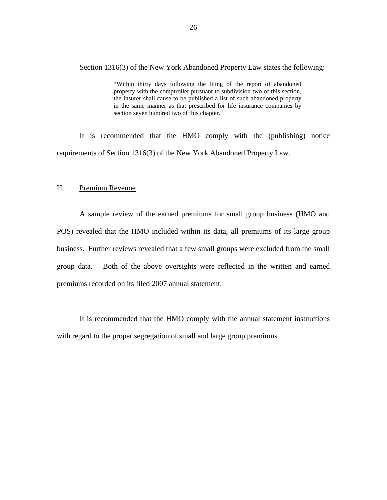<span id="page-27-0"></span>Section 1316(3) of the New York Abandoned Property Law states the following:

"Within thirty days following the filing of the report of abandoned property with the comptroller pursuant to subdivision two of this section, the insurer shall cause to be published a list of such abandoned property in the same manner as that prescribed for life insurance companies by section seven hundred two of this chapter."

It is recommended that the HMO comply with the (publishing) notice requirements of Section 1316(3) of the New York Abandoned Property Law.

## H. Premium Revenue

A sample review of the earned premiums for small group business (HMO and POS) revealed that the HMO included within its data, all premiums of its large group business. Further reviews revealed that a few small groups were excluded from the small group data. Both of the above oversights were reflected in the written and earned premiums recorded on its filed 2007 annual statement.

It is recommended that the HMO comply with the annual statement instructions with regard to the proper segregation of small and large group premiums.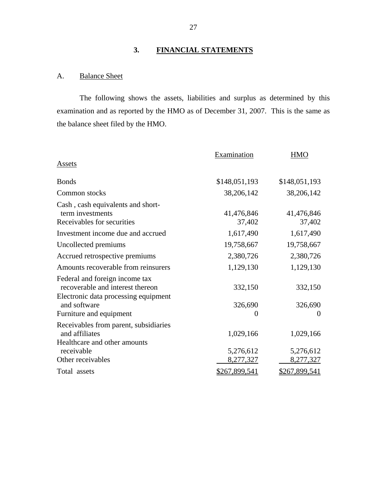## **3. FINANCIAL STATEMENTS**

## A. Balance Sheet

The following shows the assets, liabilities and surplus as determined by this examination and as reported by the HMO as of December 31, 2007. This is the same as the balance sheet filed by the HMO.

|                                       | Examination   | <b>HMO</b>    |
|---------------------------------------|---------------|---------------|
| Assets                                |               |               |
| <b>Bonds</b>                          | \$148,051,193 | \$148,051,193 |
| Common stocks                         | 38,206,142    | 38,206,142    |
| Cash, cash equivalents and short-     |               |               |
| term investments                      | 41,476,846    | 41,476,846    |
| Receivables for securities            | 37,402        | 37,402        |
| Investment income due and accrued     | 1,617,490     | 1,617,490     |
| Uncollected premiums                  | 19,758,667    | 19,758,667    |
| Accrued retrospective premiums        | 2,380,726     | 2,380,726     |
| Amounts recoverable from reinsurers   | 1,129,130     | 1,129,130     |
| Federal and foreign income tax        |               |               |
| recoverable and interest thereon      | 332,150       | 332,150       |
| Electronic data processing equipment  |               |               |
| and software                          | 326,690       | 326,690       |
| Furniture and equipment               | 0             | $\Omega$      |
| Receivables from parent, subsidiaries |               |               |
| and affiliates                        | 1,029,166     | 1,029,166     |
| Healthcare and other amounts          |               |               |
| receivable                            | 5,276,612     | 5,276,612     |
| Other receivables                     | 8,277,327     | 8,277,327     |
| Total assets                          | \$267,899,541 | \$267,899,541 |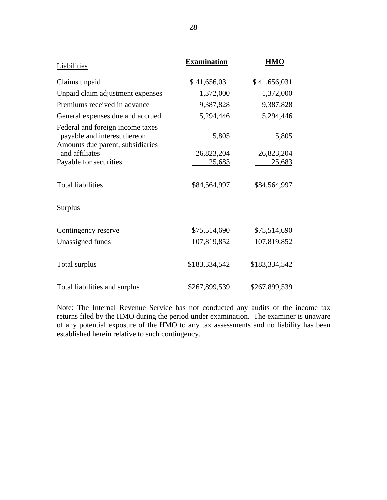| <b>Liabilities</b>                                                                                   | <b>Examination</b> | <b>HMO</b>    |
|------------------------------------------------------------------------------------------------------|--------------------|---------------|
| Claims unpaid                                                                                        | \$41,656,031       | \$41,656,031  |
| Unpaid claim adjustment expenses                                                                     | 1,372,000          | 1,372,000     |
| Premiums received in advance                                                                         | 9,387,828          | 9,387,828     |
| General expenses due and accrued                                                                     | 5,294,446          | 5,294,446     |
| Federal and foreign income taxes<br>payable and interest thereon<br>Amounts due parent, subsidiaries | 5,805              | 5,805         |
| and affiliates                                                                                       | 26,823,204         | 26,823,204    |
| Payable for securities                                                                               | <u>25,683</u>      | <u>25,683</u> |
| <b>Total liabilities</b><br><b>Surplus</b>                                                           | \$84,564,997       | \$84,564,997  |
|                                                                                                      |                    |               |
| Contingency reserve                                                                                  | \$75,514,690       | \$75,514,690  |
| Unassigned funds                                                                                     | 107,819,852        | 107,819,852   |
| Total surplus                                                                                        | \$183,334,542      | \$183,334,542 |
| Total liabilities and surplus                                                                        | \$267,899,539      | \$267,899,539 |

Note: The Internal Revenue Service has not conducted any audits of the income tax returns filed by the HMO during the period under examination. The examiner is unaware of any potential exposure of the HMO to any tax assessments and no liability has been established herein relative to such contingency.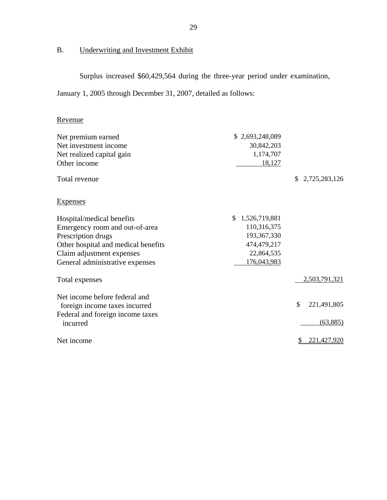## B. Underwriting and Investment Exhibit

Surplus increased \$60,429,564 during the three-year period under examination,

January 1, 2005 through December 31, 2007, detailed as follows:

## Revenue

| Net premium earned                           | \$2,693,248,089      |                     |
|----------------------------------------------|----------------------|---------------------|
| Net investment income                        | 30,842,203           |                     |
| Net realized capital gain                    | 1,174,707            |                     |
| Other income                                 | 18,127               |                     |
| Total revenue                                |                      | 2,725,283,126<br>\$ |
| <b>Expenses</b>                              |                      |                     |
| Hospital/medical benefits                    | 1,526,719,881<br>\$. |                     |
| Emergency room and out-of-area               | 110,316,375          |                     |
| Prescription drugs                           | 193, 367, 330        |                     |
| Other hospital and medical benefits          | 474,479,217          |                     |
| Claim adjustment expenses                    | 22,864,535           |                     |
| General administrative expenses              | 176,043,983          |                     |
| Total expenses                               |                      | 2,503,791,321       |
| Net income before federal and                |                      |                     |
| foreign income taxes incurred                |                      | \$<br>221,491,805   |
| Federal and foreign income taxes<br>incurred |                      | (63,885)            |
| Net income                                   |                      | 221,427,920         |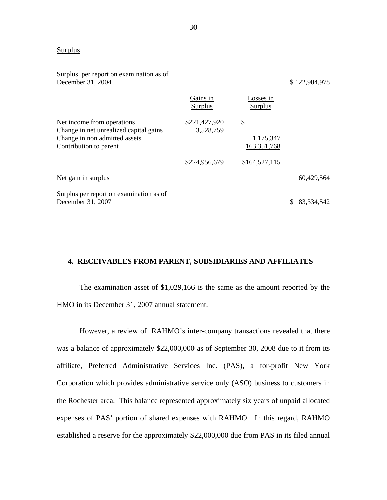### **Surplus**

| Surplus per report on examination as of<br>December 31, 2004         |                            |                            | \$122,904,978 |
|----------------------------------------------------------------------|----------------------------|----------------------------|---------------|
|                                                                      | Gains in<br>Surplus        | Losses in<br>Surplus       |               |
| Net income from operations<br>Change in net unrealized capital gains | \$221,427,920<br>3,528,759 | \$                         |               |
| Change in non admitted assets<br>Contribution to parent              |                            | 1,175,347<br>163, 351, 768 |               |
|                                                                      | \$224,956,679              | \$164,527,115              |               |
| Net gain in surplus                                                  |                            |                            | 60,429,564    |
| Surplus per report on examination as of<br>December 31, 2007         |                            |                            | \$183,334,542 |

## **4. RECEIVABLES FROM PARENT, SUBSIDIARIES AND AFFILIATES**

The examination asset of \$1,029,166 is the same as the amount reported by the HMO in its December 31, 2007 annual statement.

However, a review of RAHMO's inter-company transactions revealed that there was a balance of approximately \$22,000,000 as of September 30, 2008 due to it from its affiliate, Preferred Administrative Services Inc. (PAS), a for-profit New York Corporation which provides administrative service only (ASO) business to customers in the Rochester area. This balance represented approximately six years of unpaid allocated expenses of PAS' portion of shared expenses with RAHMO. In this regard, RAHMO established a reserve for the approximately \$22,000,000 due from PAS in its filed annual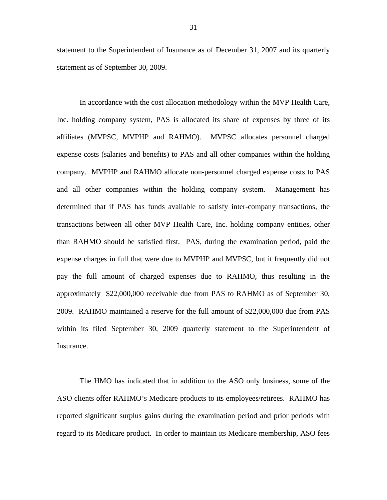statement to the Superintendent of Insurance as of December 31, 2007 and its quarterly statement as of September 30, 2009.

In accordance with the cost allocation methodology within the MVP Health Care, Inc. holding company system, PAS is allocated its share of expenses by three of its affiliates (MVPSC, MVPHP and RAHMO). MVPSC allocates personnel charged expense costs (salaries and benefits) to PAS and all other companies within the holding company. MVPHP and RAHMO allocate non-personnel charged expense costs to PAS and all other companies within the holding company system. Management has determined that if PAS has funds available to satisfy inter-company transactions, the transactions between all other MVP Health Care, Inc. holding company entities, other than RAHMO should be satisfied first. PAS, during the examination period, paid the expense charges in full that were due to MVPHP and MVPSC, but it frequently did not pay the full amount of charged expenses due to RAHMO, thus resulting in the approximately \$22,000,000 receivable due from PAS to RAHMO as of September 30, 2009. RAHMO maintained a reserve for the full amount of \$22,000,000 due from PAS within its filed September 30, 2009 quarterly statement to the Superintendent of Insurance.

The HMO has indicated that in addition to the ASO only business, some of the ASO clients offer RAHMO's Medicare products to its employees/retirees. RAHMO has reported significant surplus gains during the examination period and prior periods with regard to its Medicare product. In order to maintain its Medicare membership, ASO fees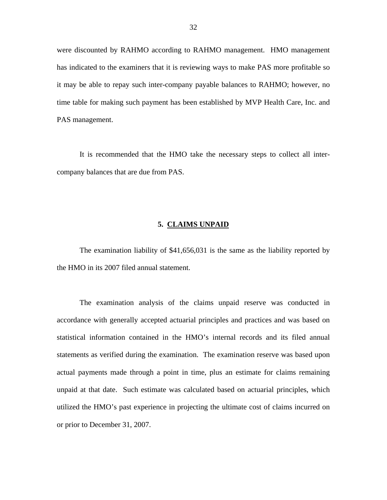<span id="page-33-0"></span>were discounted by RAHMO according to RAHMO management. HMO management has indicated to the examiners that it is reviewing ways to make PAS more profitable so it may be able to repay such inter-company payable balances to RAHMO; however, no time table for making such payment has been established by MVP Health Care, Inc. and PAS management.

It is recommended that the HMO take the necessary steps to collect all intercompany balances that are due from PAS.

### **5. CLAIMS UNPAID**

The examination liability of \$41,656,031 is the same as the liability reported by the HMO in its 2007 filed annual statement.

The examination analysis of the claims unpaid reserve was conducted in accordance with generally accepted actuarial principles and practices and was based on statistical information contained in the HMO's internal records and its filed annual statements as verified during the examination. The examination reserve was based upon actual payments made through a point in time, plus an estimate for claims remaining unpaid at that date. Such estimate was calculated based on actuarial principles, which utilized the HMO's past experience in projecting the ultimate cost of claims incurred on or prior to December 31, 2007.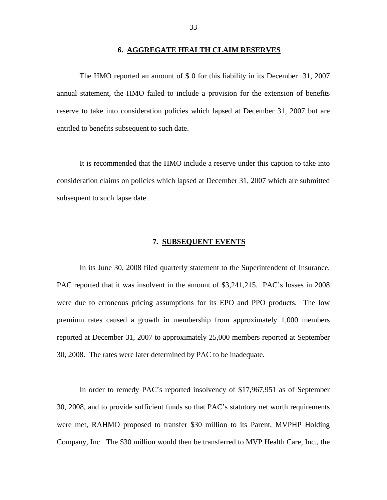<span id="page-34-0"></span>The HMO reported an amount of \$ 0 for this liability in its December 31, 2007 annual statement, the HMO failed to include a provision for the extension of benefits reserve to take into consideration policies which lapsed at December 31, 2007 but are entitled to benefits subsequent to such date.

It is recommended that the HMO include a reserve under this caption to take into consideration claims on policies which lapsed at December 31, 2007 which are submitted subsequent to such lapse date.

### **7. SUBSEQUENT EVENTS**

In its June 30, 2008 filed quarterly statement to the Superintendent of Insurance, PAC reported that it was insolvent in the amount of \$3,241,215. PAC's losses in 2008 were due to erroneous pricing assumptions for its EPO and PPO products. The low premium rates caused a growth in membership from approximately 1,000 members reported at December 31, 2007 to approximately 25,000 members reported at September 30, 2008. The rates were later determined by PAC to be inadequate.

In order to remedy PAC's reported insolvency of \$17,967,951 as of September 30, 2008, and to provide sufficient funds so that PAC's statutory net worth requirements were met, RAHMO proposed to transfer \$30 million to its Parent, MVPHP Holding Company, Inc. The \$30 million would then be transferred to MVP Health Care, Inc., the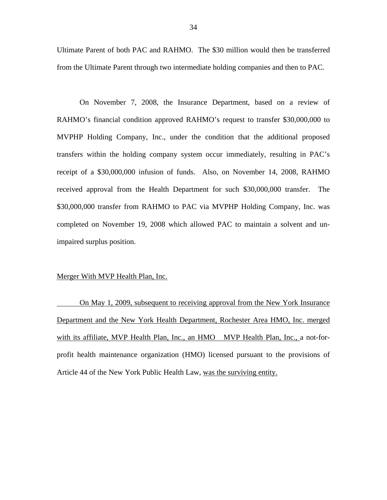Ultimate Parent of both PAC and RAHMO. The \$30 million would then be transferred from the Ultimate Parent through two intermediate holding companies and then to PAC.

On November 7, 2008, the Insurance Department, based on a review of RAHMO's financial condition approved RAHMO's request to transfer \$30,000,000 to MVPHP Holding Company, Inc., under the condition that the additional proposed transfers within the holding company system occur immediately, resulting in PAC's receipt of a \$30,000,000 infusion of funds. Also, on November 14, 2008, RAHMO received approval from the Health Department for such \$30,000,000 transfer. The \$30,000,000 transfer from RAHMO to PAC via MVPHP Holding Company, Inc. was completed on November 19, 2008 which allowed PAC to maintain a solvent and unimpaired surplus position.

#### Merger With MVP Health Plan, Inc.

On May 1, 2009, subsequent to receiving approval from the New York Insurance Department and the New York Health Department, Rochester Area HMO, Inc. merged with its affiliate, MVP Health Plan, Inc., an HMO MVP Health Plan, Inc., a not-forprofit health maintenance organization (HMO) licensed pursuant to the provisions of Article 44 of the New York Public Health Law, was the surviving entity.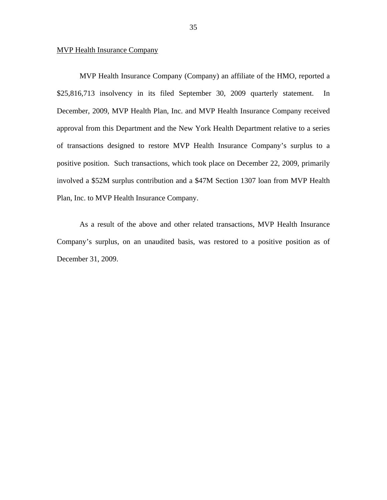### MVP Health Insurance Company

MVP Health Insurance Company (Company) an affiliate of the HMO, reported a \$25,816,713 insolvency in its filed September 30, 2009 quarterly statement. In December, 2009, MVP Health Plan, Inc. and MVP Health Insurance Company received approval from this Department and the New York Health Department relative to a series of transactions designed to restore MVP Health Insurance Company's surplus to a positive position. Such transactions, which took place on December 22, 2009, primarily involved a \$52M surplus contribution and a \$47M Section 1307 loan from MVP Health Plan, Inc. to MVP Health Insurance Company.

As a result of the above and other related transactions, MVP Health Insurance Company's surplus, on an unaudited basis, was restored to a positive position as of December 31, 2009.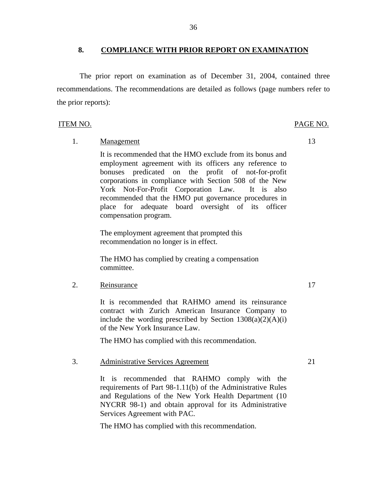**8. COMPLIANCE WITH PRIOR REPORT ON EXAMINATION** 

The prior report on examination as of December 31, 2004, contained three recommendations. The recommendations are detailed as follows (page numbers refer to the prior reports):

#### ITEM NO. PAGE NO.

## 1. Management 13

It is recommended that the HMO exclude from its bonus and employment agreement with its officers any reference to bonuses predicated on the profit of not-for-profit corporations in compliance with Section 508 of the New York Not-For-Profit Corporation Law. It is also recommended that the HMO put governance procedures in place for adequate board oversight of its officer compensation program.

The employment agreement that prompted this recommendation no longer is in effect.

The HMO has complied by creating a compensation committee.

## 2. Reinsurance 17

It is recommended that RAHMO amend its reinsurance contract with Zurich American Insurance Company to include the wording prescribed by Section  $1308(a)(2)(A)(i)$ of the New York Insurance Law.

The HMO has complied with this recommendation.

## 3. Administrative Services Agreement 21

It is recommended that RAHMO comply with the requirements of Part 98-1.11(b) of the Administrative Rules and Regulations of the New York Health Department (10 NYCRR 98-1) and obtain approval for its Administrative Services Agreement with PAC.

The HMO has complied with this recommendation.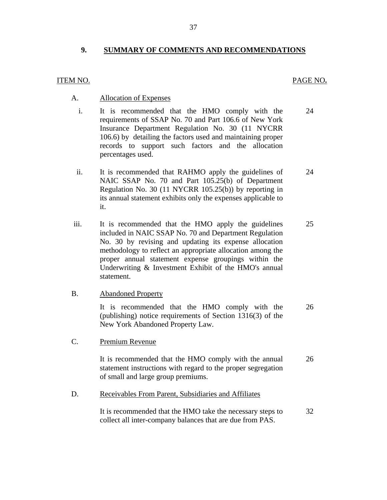## <span id="page-38-0"></span>**9. SUMMARY OF COMMENTS AND RECOMMENDATIONS**

## ITEM NO. PAGE NO**.**

## **Allocation of Expenses**

- A. Allocation of Expenses<br>i. It is recommended that the HMO comply with the 24 requirements of SSAP No. 70 and Part 106.6 of New York Insurance Department Regulation No. 30 (11 NYCRR 106.6) by detailing the factors used and maintaining proper records to support such factors and the allocation percentages used.
	- ii. It is recommended that RAHMO apply the guidelines of 24 NAIC SSAP No. 70 and Part 105.25(b) of Department Regulation No. 30 (11 NYCRR 105.25(b)) by reporting in its annual statement exhibits only the expenses applicable to it.
- iii. It is recommended that the HMO apply the guidelines 25 included in NAIC SSAP No. 70 and Department Regulation No. 30 by revising and updating its expense allocation methodology to reflect an appropriate allocation among the proper annual statement expense groupings within the Underwriting & Investment Exhibit of the HMO's annual statement.

## **Abandoned Property**

B. Abandoned Property<br>It is recommended that the HMO comply with the 26 (publishing) notice requirements of Section 1316(3) of the New York Abandoned Property Law.

C. Premium Revenue

It is recommended that the HMO comply with the annual 26 statement instructions with regard to the proper segregation of small and large group premiums.

Receivables From Parent, Subsidiaries and Affiliates

D. Receivables From Parent, Subsidiaries and Affiliates<br>It is recommended that the HMO take the necessary steps to 32 collect all inter-company balances that are due from PAS.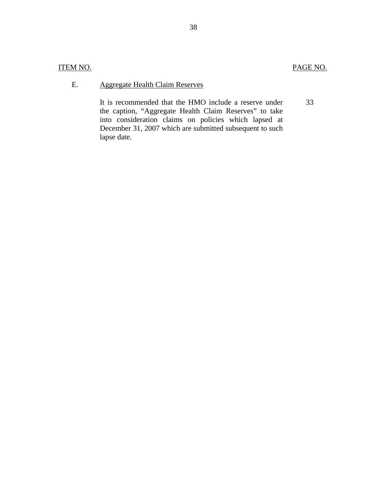## ITEM NO. PAGE NO.

## **Aggregate Health Claim Reserves**

E. Aggregate Health Claim Reserves<br>It is recommended that the HMO include a reserve under the caption, "Aggregate Health Claim Reserves" to take into consideration claims on policies which lapsed at December 31, 2007 which are submitted subsequent to such lapse date. 33